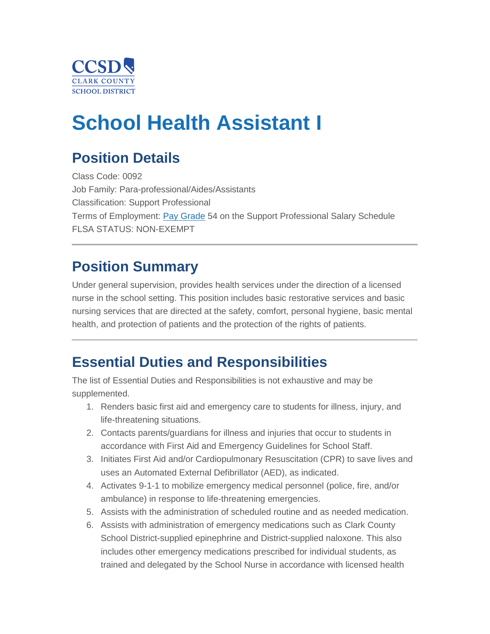

# **School Health Assistant I**

### **Position Details**

Class Code: 0092 Job Family: Para-professional/Aides/Assistants Classification: Support Professional Terms of Employment: [Pay Grade](https://ccsd.net/employees/current/employment/salary) 54 on the Support Professional Salary Schedule FLSA STATUS: NON-EXEMPT

### **Position Summary**

Under general supervision, provides health services under the direction of a licensed nurse in the school setting. This position includes basic restorative services and basic nursing services that are directed at the safety, comfort, personal hygiene, basic mental health, and protection of patients and the protection of the rights of patients.

### **Essential Duties and Responsibilities**

The list of Essential Duties and Responsibilities is not exhaustive and may be supplemented.

- 1. Renders basic first aid and emergency care to students for illness, injury, and life-threatening situations.
- 2. Contacts parents/guardians for illness and injuries that occur to students in accordance with First Aid and Emergency Guidelines for School Staff.
- 3. Initiates First Aid and/or Cardiopulmonary Resuscitation (CPR) to save lives and uses an Automated External Defibrillator (AED), as indicated.
- 4. Activates 9-1-1 to mobilize emergency medical personnel (police, fire, and/or ambulance) in response to life-threatening emergencies.
- 5. Assists with the administration of scheduled routine and as needed medication.
- 6. Assists with administration of emergency medications such as Clark County School District-supplied epinephrine and District-supplied naloxone. This also includes other emergency medications prescribed for individual students, as trained and delegated by the School Nurse in accordance with licensed health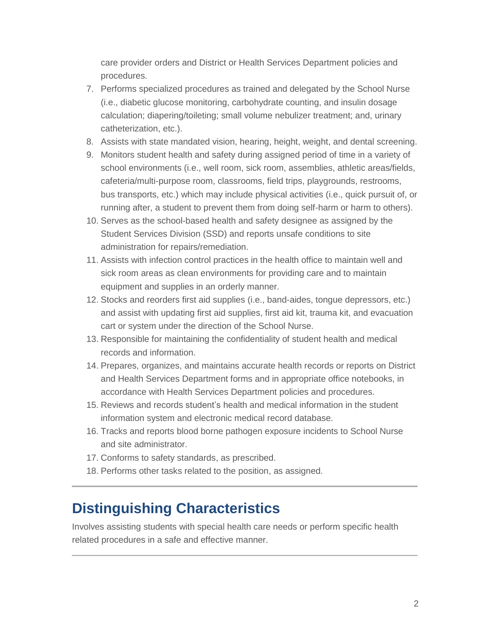care provider orders and District or Health Services Department policies and procedures.

- 7. Performs specialized procedures as trained and delegated by the School Nurse (i.e., diabetic glucose monitoring, carbohydrate counting, and insulin dosage calculation; diapering/toileting; small volume nebulizer treatment; and, urinary catheterization, etc.).
- 8. Assists with state mandated vision, hearing, height, weight, and dental screening.
- 9. Monitors student health and safety during assigned period of time in a variety of school environments (i.e., well room, sick room, assemblies, athletic areas/fields, cafeteria/multi-purpose room, classrooms, field trips, playgrounds, restrooms, bus transports, etc.) which may include physical activities (i.e., quick pursuit of, or running after, a student to prevent them from doing self-harm or harm to others).
- 10. Serves as the school-based health and safety designee as assigned by the Student Services Division (SSD) and reports unsafe conditions to site administration for repairs/remediation.
- 11. Assists with infection control practices in the health office to maintain well and sick room areas as clean environments for providing care and to maintain equipment and supplies in an orderly manner.
- 12. Stocks and reorders first aid supplies (i.e., band-aides, tongue depressors, etc.) and assist with updating first aid supplies, first aid kit, trauma kit, and evacuation cart or system under the direction of the School Nurse.
- 13. Responsible for maintaining the confidentiality of student health and medical records and information.
- 14. Prepares, organizes, and maintains accurate health records or reports on District and Health Services Department forms and in appropriate office notebooks, in accordance with Health Services Department policies and procedures.
- 15. Reviews and records student's health and medical information in the student information system and electronic medical record database.
- 16. Tracks and reports blood borne pathogen exposure incidents to School Nurse and site administrator.
- 17. Conforms to safety standards, as prescribed.
- 18. Performs other tasks related to the position, as assigned.

### **Distinguishing Characteristics**

Involves assisting students with special health care needs or perform specific health related procedures in a safe and effective manner.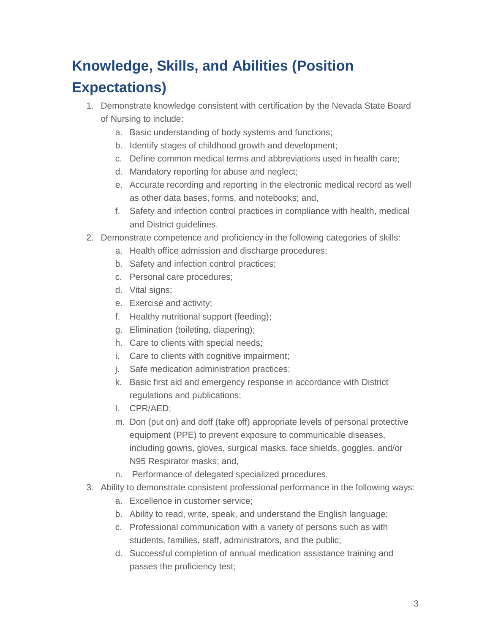# **Knowledge, Skills, and Abilities (Position Expectations)**

- 1. Demonstrate knowledge consistent with certification by the Nevada State Board of Nursing to include:
	- a. Basic understanding of body systems and functions;
	- b. Identify stages of childhood growth and development;
	- c. Define common medical terms and abbreviations used in health care;
	- d. Mandatory reporting for abuse and neglect;
	- e. Accurate recording and reporting in the electronic medical record as well as other data bases, forms, and notebooks; and,
	- f. Safety and infection control practices in compliance with health, medical and District guidelines.
- 2. Demonstrate competence and proficiency in the following categories of skills:
	- a. Health office admission and discharge procedures;
	- b. Safety and infection control practices;
	- c. Personal care procedures;
	- d. Vital signs;
	- e. Exercise and activity;
	- f. Healthy nutritional support (feeding);
	- g. Elimination (toileting, diapering);
	- h. Care to clients with special needs;
	- i. Care to clients with cognitive impairment;
	- j. Safe medication administration practices;
	- k. Basic first aid and emergency response in accordance with District regulations and publications;
	- l. CPR/AED;
	- m. Don (put on) and doff (take off) appropriate levels of personal protective equipment (PPE) to prevent exposure to communicable diseases, including gowns, gloves, surgical masks, face shields, goggles, and/or N95 Respirator masks; and,
	- n. Performance of delegated specialized procedures.
- 3. Ability to demonstrate consistent professional performance in the following ways:
	- a. Excellence in customer service;
	- b. Ability to read, write, speak, and understand the English language;
	- c. Professional communication with a variety of persons such as with students, families, staff, administrators, and the public;
	- d. Successful completion of annual medication assistance training and passes the proficiency test;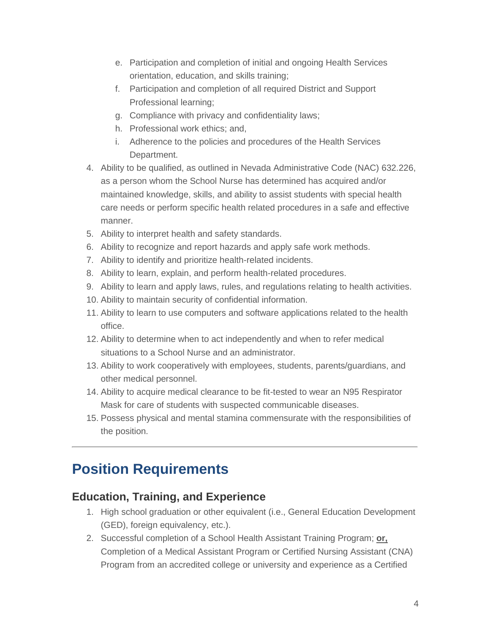- e. Participation and completion of initial and ongoing Health Services orientation, education, and skills training;
- f. Participation and completion of all required District and Support Professional learning;
- g. Compliance with privacy and confidentiality laws;
- h. Professional work ethics; and,
- i. Adherence to the policies and procedures of the Health Services Department.
- 4. Ability to be qualified, as outlined in Nevada Administrative Code (NAC) 632.226, as a person whom the School Nurse has determined has acquired and/or maintained knowledge, skills, and ability to assist students with special health care needs or perform specific health related procedures in a safe and effective manner.
- 5. Ability to interpret health and safety standards.
- 6. Ability to recognize and report hazards and apply safe work methods.
- 7. Ability to identify and prioritize health-related incidents.
- 8. Ability to learn, explain, and perform health-related procedures.
- 9. Ability to learn and apply laws, rules, and regulations relating to health activities.
- 10. Ability to maintain security of confidential information.
- 11. Ability to learn to use computers and software applications related to the health office.
- 12. Ability to determine when to act independently and when to refer medical situations to a School Nurse and an administrator.
- 13. Ability to work cooperatively with employees, students, parents/guardians, and other medical personnel.
- 14. Ability to acquire medical clearance to be fit-tested to wear an N95 Respirator Mask for care of students with suspected communicable diseases.
- 15. Possess physical and mental stamina commensurate with the responsibilities of the position.

### **Position Requirements**

### **Education, Training, and Experience**

- 1. High school graduation or other equivalent (i.e., General Education Development (GED), foreign equivalency, etc.).
- 2. Successful completion of a School Health Assistant Training Program; **or,** Completion of a Medical Assistant Program or Certified Nursing Assistant (CNA) Program from an accredited college or university and experience as a Certified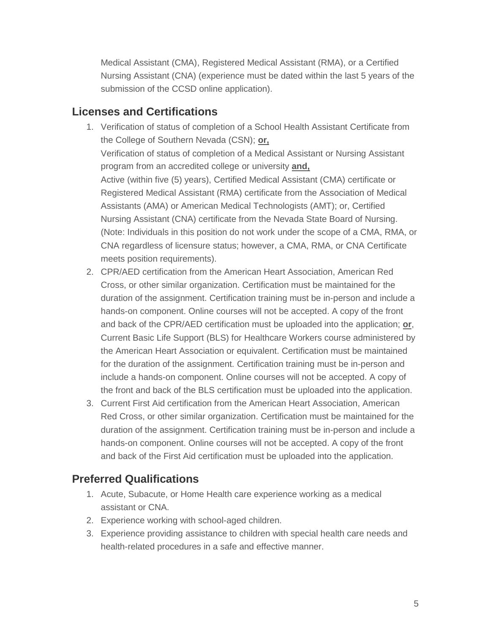Medical Assistant (CMA), Registered Medical Assistant (RMA), or a Certified Nursing Assistant (CNA) (experience must be dated within the last 5 years of the submission of the CCSD online application).

#### **Licenses and Certifications**

- 1. Verification of status of completion of a School Health Assistant Certificate from the College of Southern Nevada (CSN); **or,** Verification of status of completion of a Medical Assistant or Nursing Assistant program from an accredited college or university **and,** Active (within five (5) years), Certified Medical Assistant (CMA) certificate or Registered Medical Assistant (RMA) certificate from the Association of Medical Assistants (AMA) or American Medical Technologists (AMT); or, Certified Nursing Assistant (CNA) certificate from the Nevada State Board of Nursing. (Note: Individuals in this position do not work under the scope of a CMA, RMA, or CNA regardless of licensure status; however, a CMA, RMA, or CNA Certificate meets position requirements).
- 2. CPR/AED certification from the American Heart Association, American Red Cross, or other similar organization. Certification must be maintained for the duration of the assignment. Certification training must be in-person and include a hands-on component. Online courses will not be accepted. A copy of the front and back of the CPR/AED certification must be uploaded into the application; **or**, Current Basic Life Support (BLS) for Healthcare Workers course administered by the American Heart Association or equivalent. Certification must be maintained for the duration of the assignment. Certification training must be in-person and include a hands-on component. Online courses will not be accepted. A copy of the front and back of the BLS certification must be uploaded into the application.
- 3. Current First Aid certification from the American Heart Association, American Red Cross, or other similar organization. Certification must be maintained for the duration of the assignment. Certification training must be in-person and include a hands-on component. Online courses will not be accepted. A copy of the front and back of the First Aid certification must be uploaded into the application.

### **Preferred Qualifications**

- 1. Acute, Subacute, or Home Health care experience working as a medical assistant or CNA.
- 2. Experience working with school-aged children.
- 3. Experience providing assistance to children with special health care needs and health-related procedures in a safe and effective manner.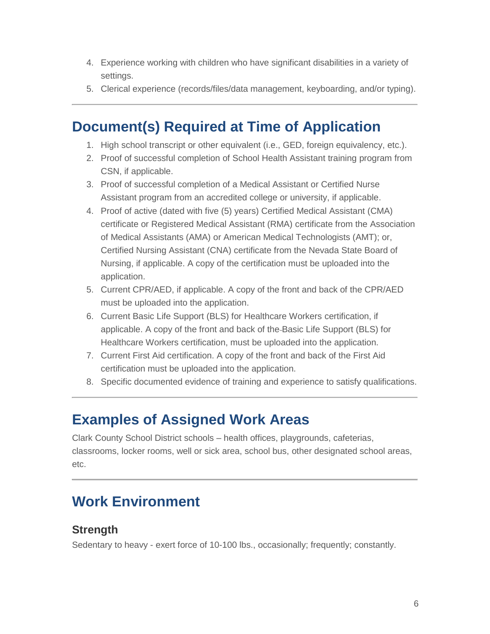- 4. Experience working with children who have significant disabilities in a variety of settings.
- 5. Clerical experience (records/files/data management, keyboarding, and/or typing).

### **Document(s) Required at Time of Application**

- 1. High school transcript or other equivalent (i.e., GED, foreign equivalency, etc.).
- 2. Proof of successful completion of School Health Assistant training program from CSN, if applicable.
- 3. Proof of successful completion of a Medical Assistant or Certified Nurse Assistant program from an accredited college or university, if applicable.
- 4. Proof of active (dated with five (5) years) Certified Medical Assistant (CMA) certificate or Registered Medical Assistant (RMA) certificate from the Association of Medical Assistants (AMA) or American Medical Technologists (AMT); or, Certified Nursing Assistant (CNA) certificate from the Nevada State Board of Nursing, if applicable. A copy of the certification must be uploaded into the application.
- 5. Current CPR/AED, if applicable. A copy of the front and back of the CPR/AED must be uploaded into the application.
- 6. Current Basic Life Support (BLS) for Healthcare Workers certification, if applicable. A copy of the front and back of the Basic Life Support (BLS) for Healthcare Workers certification, must be uploaded into the application.
- 7. Current First Aid certification. A copy of the front and back of the First Aid certification must be uploaded into the application.
- 8. Specific documented evidence of training and experience to satisfy qualifications.

### **Examples of Assigned Work Areas**

Clark County School District schools – health offices, playgrounds, cafeterias, classrooms, locker rooms, well or sick area, school bus, other designated school areas, etc.

### **Work Environment**

#### **Strength**

Sedentary to heavy - exert force of 10-100 lbs., occasionally; frequently; constantly.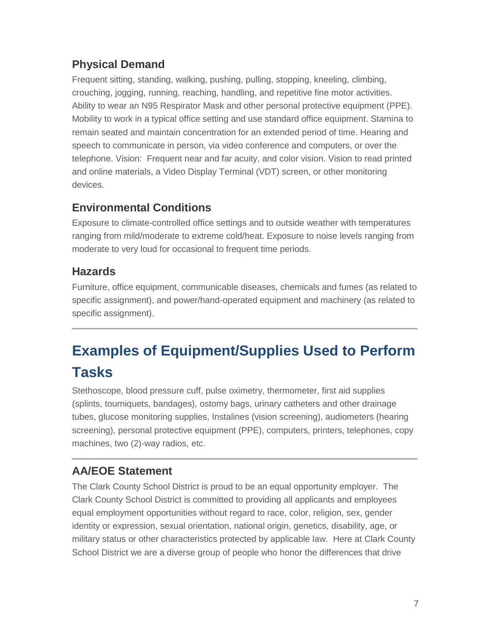#### **Physical Demand**

Frequent sitting, standing, walking, pushing, pulling, stopping, kneeling, climbing, crouching, jogging, running, reaching, handling, and repetitive fine motor activities. Ability to wear an N95 Respirator Mask and other personal protective equipment (PPE). Mobility to work in a typical office setting and use standard office equipment. Stamina to remain seated and maintain concentration for an extended period of time. Hearing and speech to communicate in person, via video conference and computers, or over the telephone. Vision: Frequent near and far acuity, and color vision. Vision to read printed and online materials, a Video Display Terminal (VDT) screen, or other monitoring devices.

#### **Environmental Conditions**

Exposure to climate-controlled office settings and to outside weather with temperatures ranging from mild/moderate to extreme cold/heat. Exposure to noise levels ranging from moderate to very loud for occasional to frequent time periods.

#### **Hazards**

Furniture, office equipment, communicable diseases, chemicals and fumes (as related to specific assignment), and power/hand-operated equipment and machinery (as related to specific assignment).

## **Examples of Equipment/Supplies Used to Perform Tasks**

Stethoscope, blood pressure cuff, pulse oximetry, thermometer, first aid supplies (splints, tourniquets, bandages), ostomy bags, urinary catheters and other drainage tubes, glucose monitoring supplies, Instalines (vision screening), audiometers (hearing screening), personal protective equipment (PPE), computers, printers, telephones, copy machines, two (2)-way radios, etc.

### **AA/EOE Statement**

The Clark County School District is proud to be an equal opportunity employer. The Clark County School District is committed to providing all applicants and employees equal employment opportunities without regard to race, color, religion, sex, gender identity or expression, sexual orientation, national origin, genetics, disability, age, or military status or other characteristics protected by applicable law. Here at Clark County School District we are a diverse group of people who honor the differences that drive